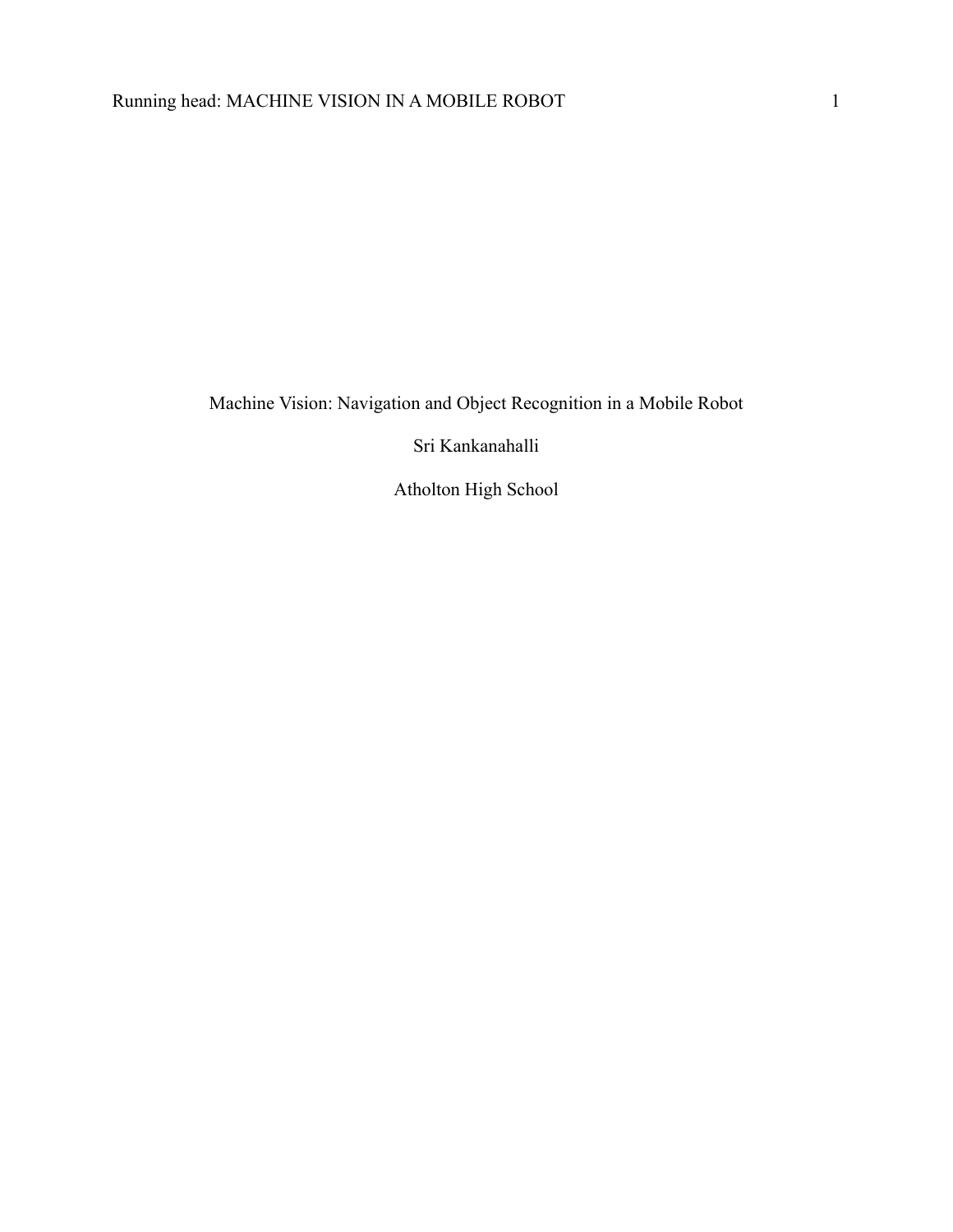Machine Vision: Navigation and Object Recognition in a Mobile Robot

Sri Kankanahalli

Atholton High School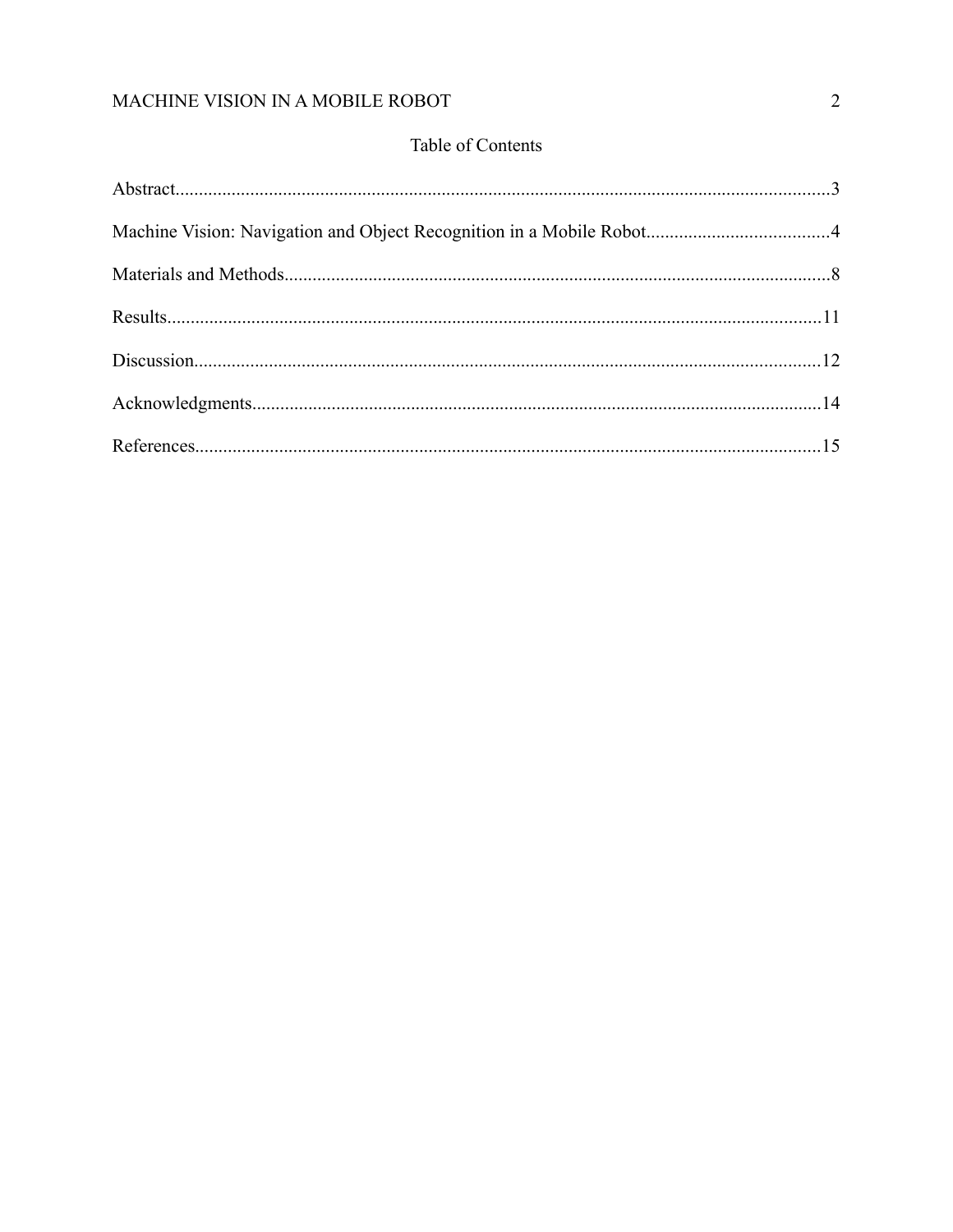## Table of Contents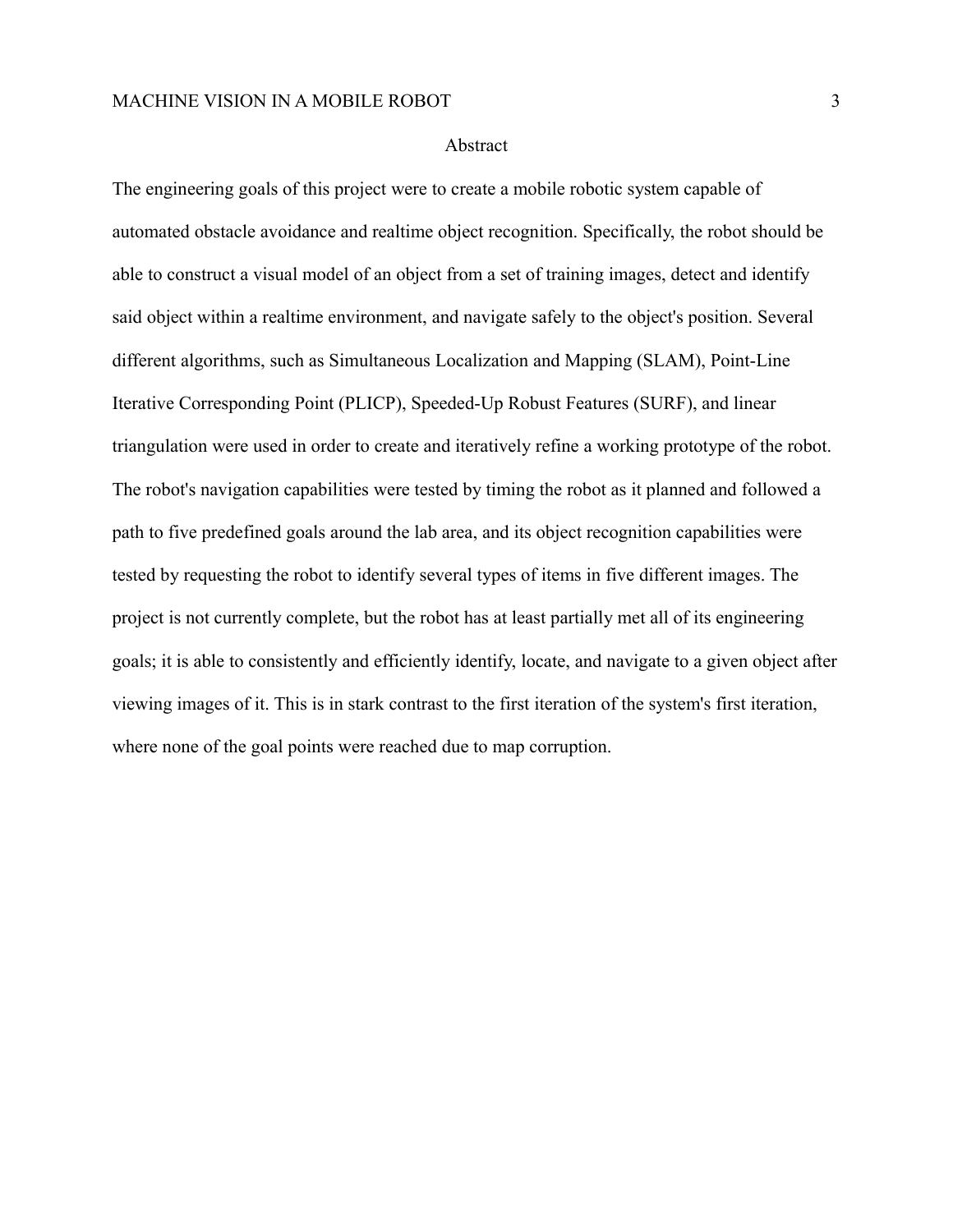## Abstract

The engineering goals of this project were to create a mobile robotic system capable of automated obstacle avoidance and realtime object recognition. Specifically, the robot should be able to construct a visual model of an object from a set of training images, detect and identify said object within a realtime environment, and navigate safely to the object's position. Several different algorithms, such as Simultaneous Localization and Mapping (SLAM), Point-Line Iterative Corresponding Point (PLICP), Speeded-Up Robust Features (SURF), and linear triangulation were used in order to create and iteratively refine a working prototype of the robot. The robot's navigation capabilities were tested by timing the robot as it planned and followed a path to five predefined goals around the lab area, and its object recognition capabilities were tested by requesting the robot to identify several types of items in five different images. The project is not currently complete, but the robot has at least partially met all of its engineering goals; it is able to consistently and efficiently identify, locate, and navigate to a given object after viewing images of it. This is in stark contrast to the first iteration of the system's first iteration, where none of the goal points were reached due to map corruption.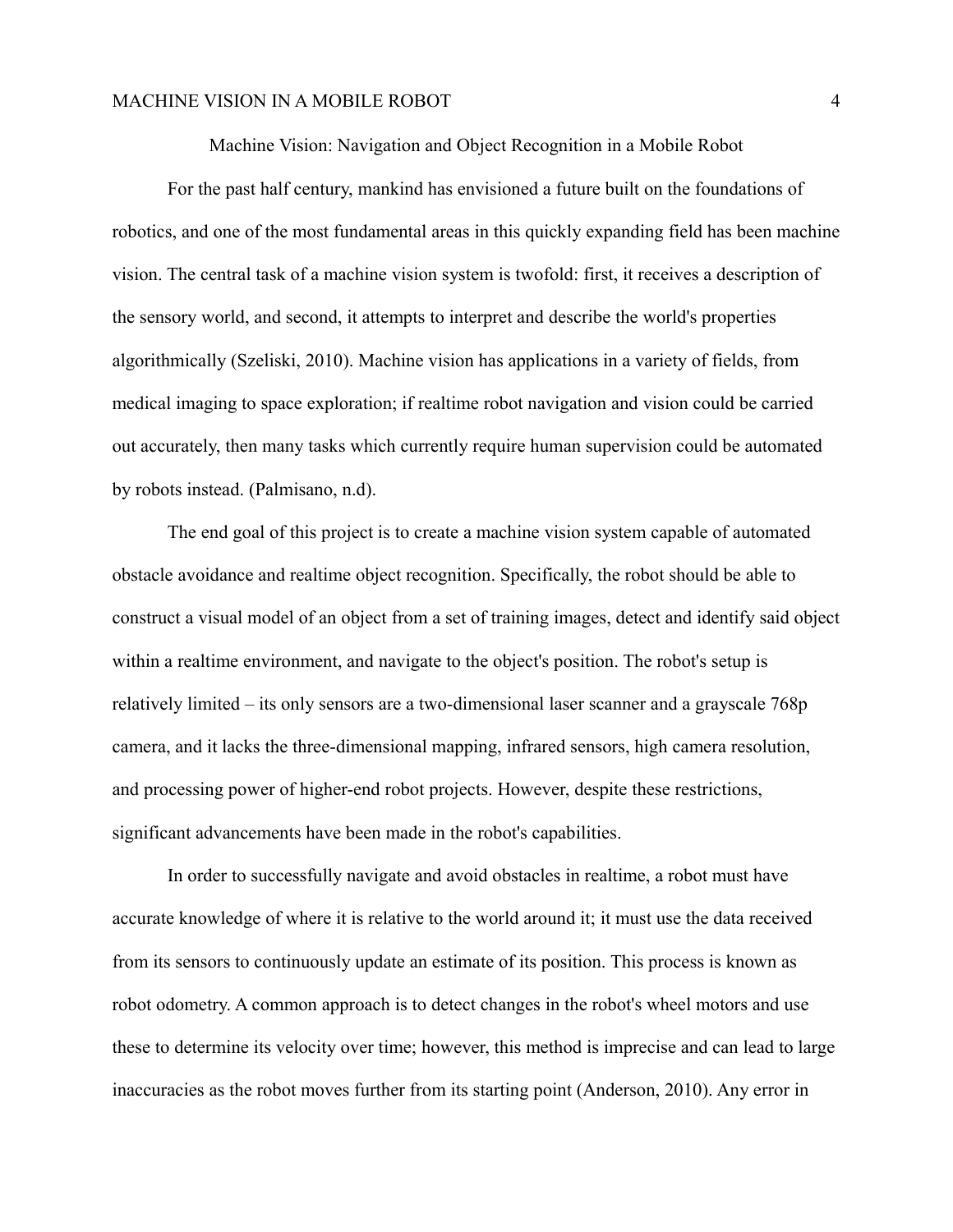Machine Vision: Navigation and Object Recognition in a Mobile Robot

For the past half century, mankind has envisioned a future built on the foundations of robotics, and one of the most fundamental areas in this quickly expanding field has been machine vision. The central task of a machine vision system is twofold: first, it receives a description of the sensory world, and second, it attempts to interpret and describe the world's properties algorithmically (Szeliski, 2010). Machine vision has applications in a variety of fields, from medical imaging to space exploration; if realtime robot navigation and vision could be carried out accurately, then many tasks which currently require human supervision could be automated by robots instead. (Palmisano, n.d).

The end goal of this project is to create a machine vision system capable of automated obstacle avoidance and realtime object recognition. Specifically, the robot should be able to construct a visual model of an object from a set of training images, detect and identify said object within a realtime environment, and navigate to the object's position. The robot's setup is relatively limited – its only sensors are a two-dimensional laser scanner and a grayscale 768p camera, and it lacks the three-dimensional mapping, infrared sensors, high camera resolution, and processing power of higher-end robot projects. However, despite these restrictions, significant advancements have been made in the robot's capabilities.

In order to successfully navigate and avoid obstacles in realtime, a robot must have accurate knowledge of where it is relative to the world around it; it must use the data received from its sensors to continuously update an estimate of its position. This process is known as robot odometry. A common approach is to detect changes in the robot's wheel motors and use these to determine its velocity over time; however, this method is imprecise and can lead to large inaccuracies as the robot moves further from its starting point (Anderson, 2010). Any error in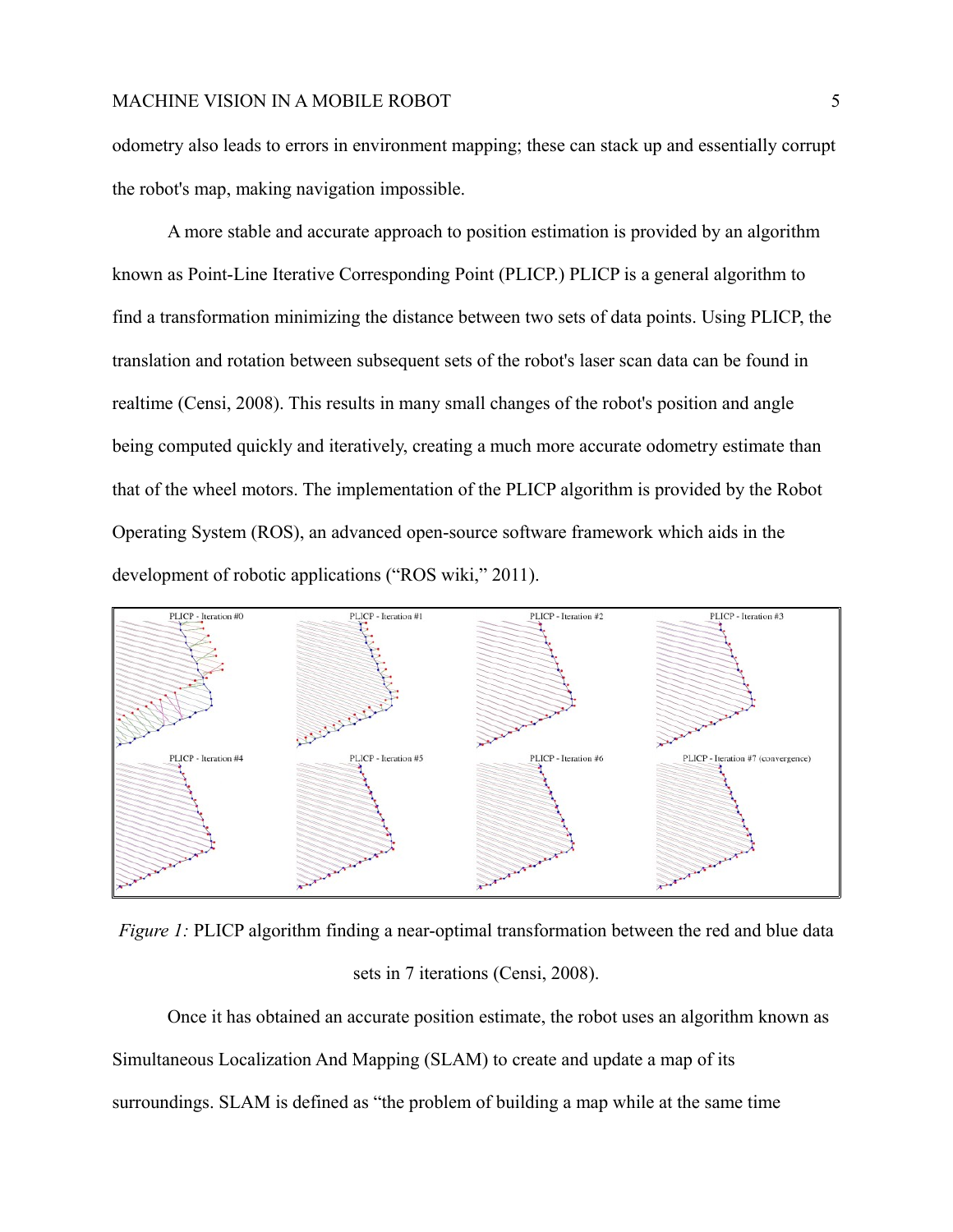odometry also leads to errors in environment mapping; these can stack up and essentially corrupt the robot's map, making navigation impossible.

A more stable and accurate approach to position estimation is provided by an algorithm known as Point-Line Iterative Corresponding Point (PLICP.) PLICP is a general algorithm to find a transformation minimizing the distance between two sets of data points. Using PLICP, the translation and rotation between subsequent sets of the robot's laser scan data can be found in realtime (Censi, 2008). This results in many small changes of the robot's position and angle being computed quickly and iteratively, creating a much more accurate odometry estimate than that of the wheel motors. The implementation of the PLICP algorithm is provided by the Robot Operating System (ROS), an advanced open-source software framework which aids in the development of robotic applications ("ROS wiki," 2011).



*Figure 1:* PLICP algorithm finding a near-optimal transformation between the red and blue data sets in 7 iterations (Censi, 2008).

Once it has obtained an accurate position estimate, the robot uses an algorithm known as Simultaneous Localization And Mapping (SLAM) to create and update a map of its surroundings. SLAM is defined as "the problem of building a map while at the same time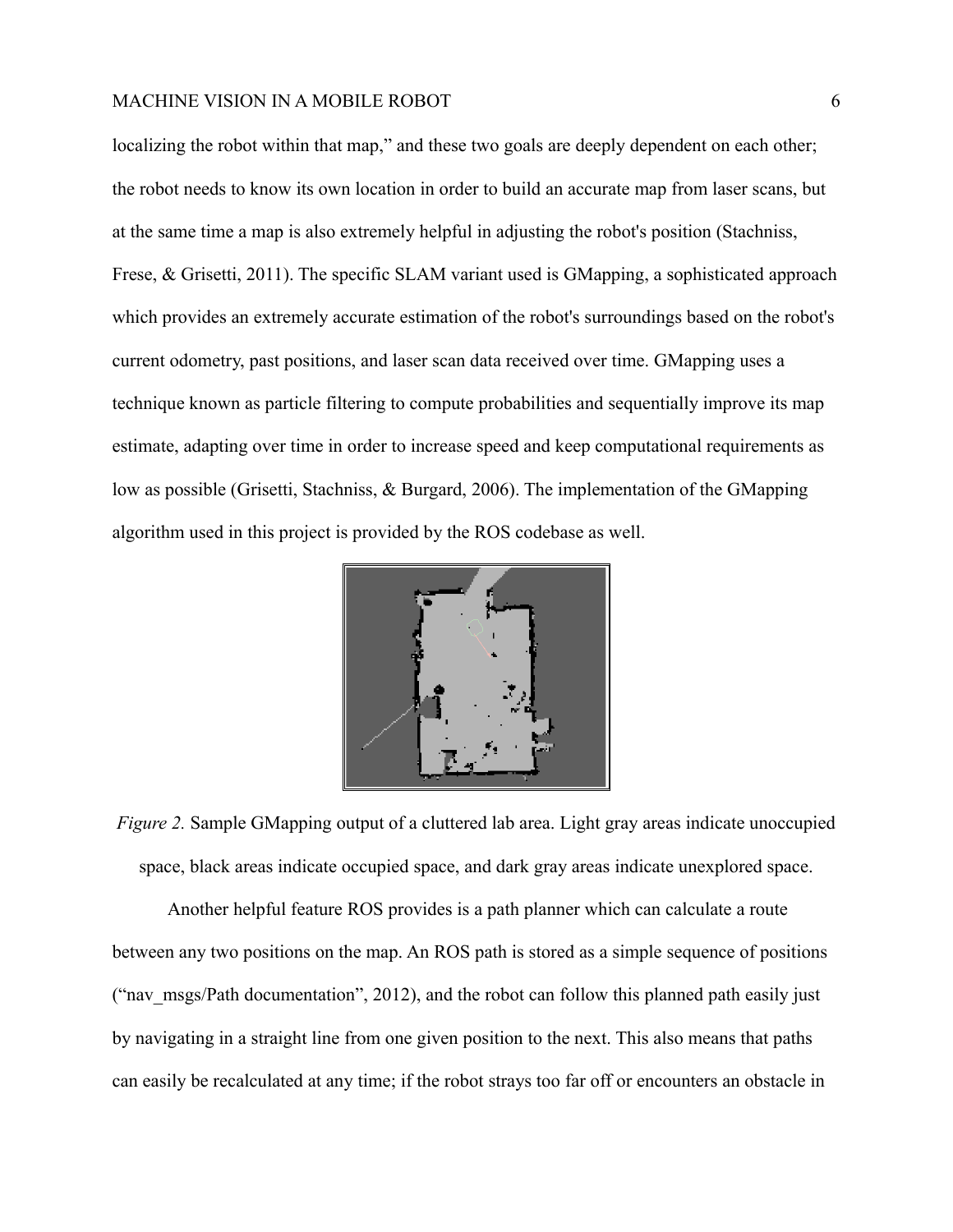localizing the robot within that map," and these two goals are deeply dependent on each other; the robot needs to know its own location in order to build an accurate map from laser scans, but at the same time a map is also extremely helpful in adjusting the robot's position (Stachniss, Frese, & Grisetti, 2011). The specific SLAM variant used is GMapping, a sophisticated approach which provides an extremely accurate estimation of the robot's surroundings based on the robot's current odometry, past positions, and laser scan data received over time. GMapping uses a technique known as particle filtering to compute probabilities and sequentially improve its map estimate, adapting over time in order to increase speed and keep computational requirements as low as possible (Grisetti, Stachniss, & Burgard, 2006). The implementation of the GMapping algorithm used in this project is provided by the ROS codebase as well.



*Figure 2.* Sample GMapping output of a cluttered lab area. Light gray areas indicate unoccupied space, black areas indicate occupied space, and dark gray areas indicate unexplored space.

Another helpful feature ROS provides is a path planner which can calculate a route between any two positions on the map. An ROS path is stored as a simple sequence of positions ("nav\_msgs/Path documentation", 2012), and the robot can follow this planned path easily just by navigating in a straight line from one given position to the next. This also means that paths can easily be recalculated at any time; if the robot strays too far off or encounters an obstacle in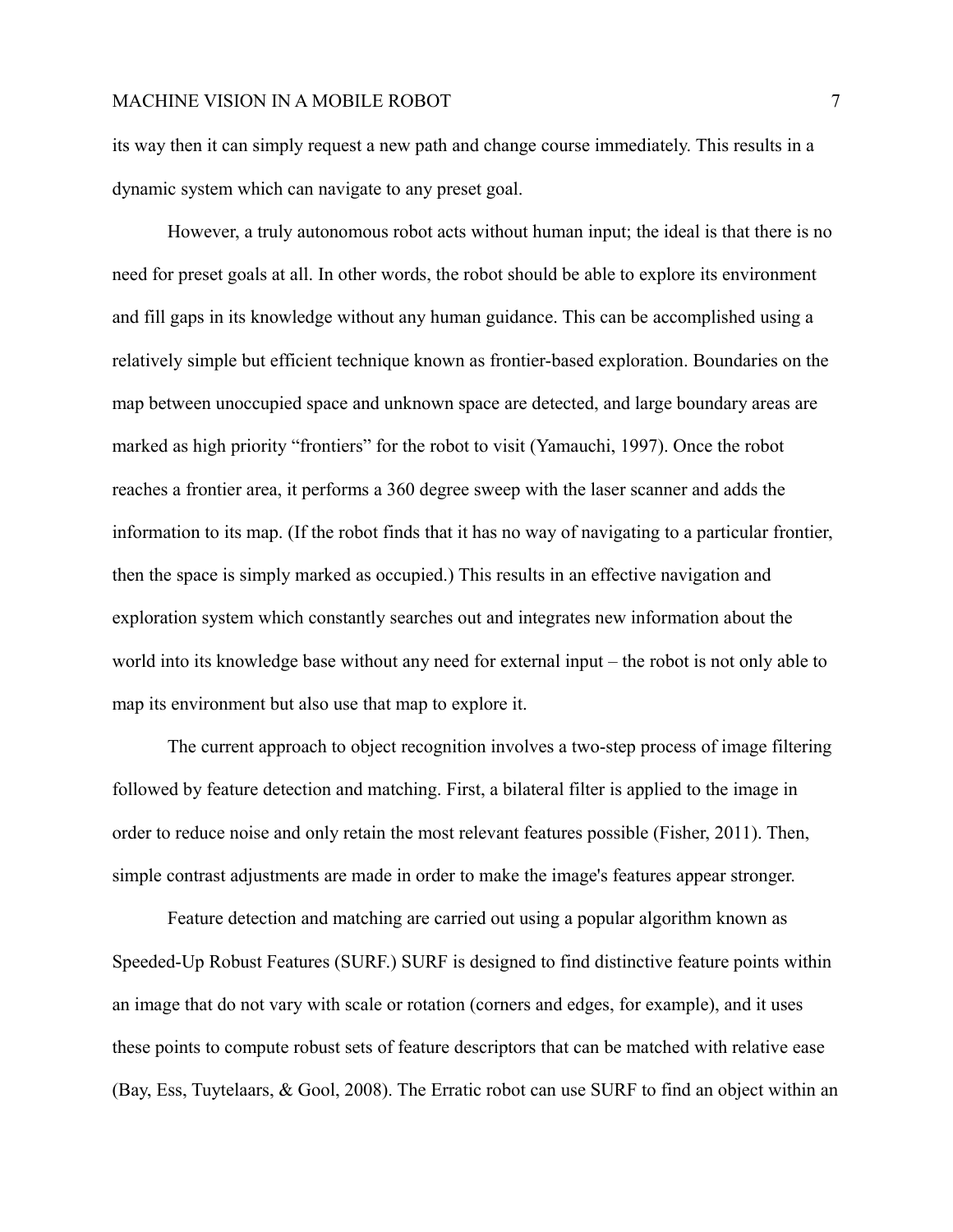its way then it can simply request a new path and change course immediately. This results in a dynamic system which can navigate to any preset goal.

However, a truly autonomous robot acts without human input; the ideal is that there is no need for preset goals at all. In other words, the robot should be able to explore its environment and fill gaps in its knowledge without any human guidance. This can be accomplished using a relatively simple but efficient technique known as frontier-based exploration. Boundaries on the map between unoccupied space and unknown space are detected, and large boundary areas are marked as high priority "frontiers" for the robot to visit (Yamauchi, 1997). Once the robot reaches a frontier area, it performs a 360 degree sweep with the laser scanner and adds the information to its map. (If the robot finds that it has no way of navigating to a particular frontier, then the space is simply marked as occupied.) This results in an effective navigation and exploration system which constantly searches out and integrates new information about the world into its knowledge base without any need for external input – the robot is not only able to map its environment but also use that map to explore it.

The current approach to object recognition involves a two-step process of image filtering followed by feature detection and matching. First, a bilateral filter is applied to the image in order to reduce noise and only retain the most relevant features possible (Fisher, 2011). Then, simple contrast adjustments are made in order to make the image's features appear stronger.

Feature detection and matching are carried out using a popular algorithm known as Speeded-Up Robust Features (SURF.) SURF is designed to find distinctive feature points within an image that do not vary with scale or rotation (corners and edges, for example), and it uses these points to compute robust sets of feature descriptors that can be matched with relative ease (Bay, Ess, Tuytelaars, & Gool, 2008). The Erratic robot can use SURF to find an object within an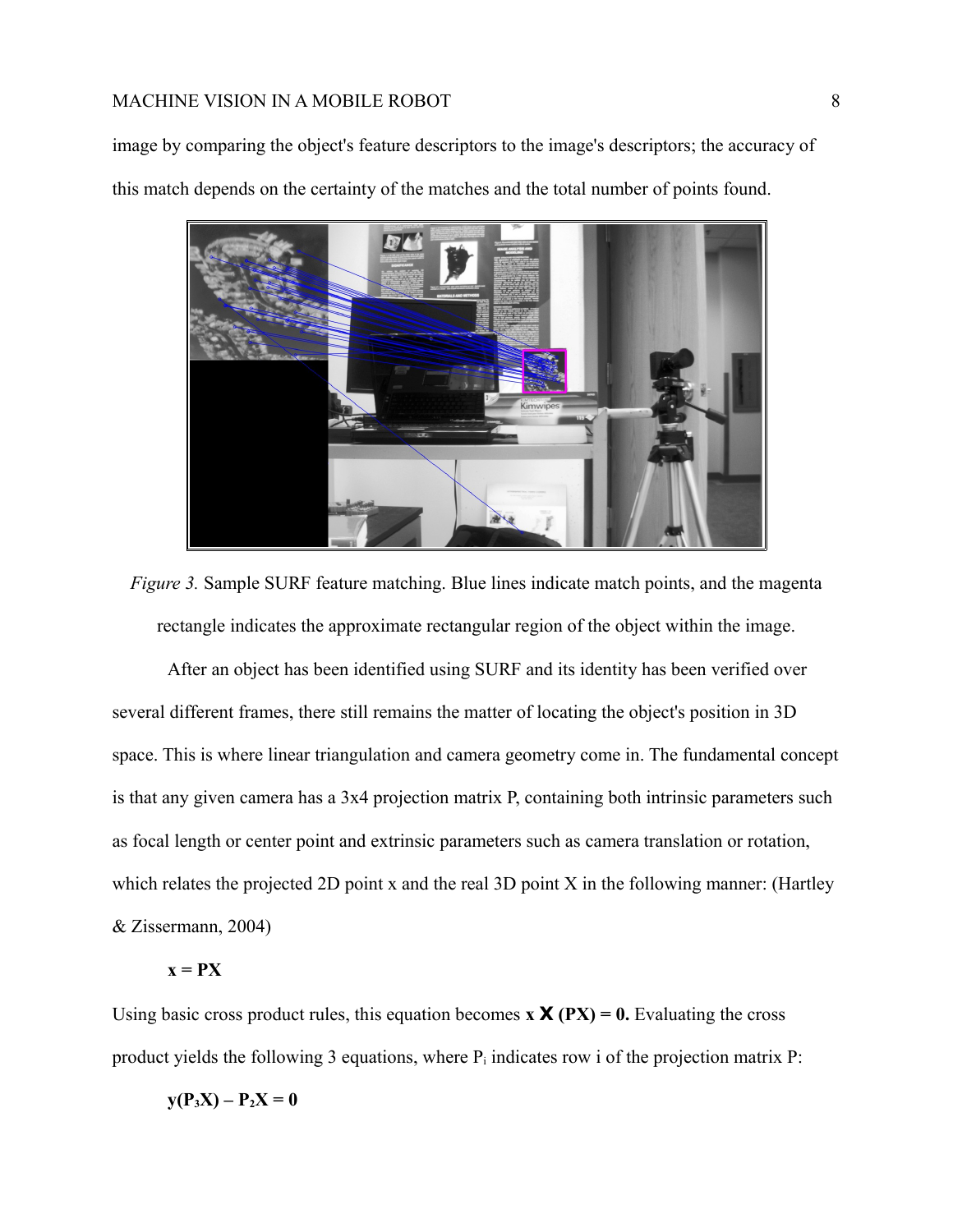image by comparing the object's feature descriptors to the image's descriptors; the accuracy of this match depends on the certainty of the matches and the total number of points found.



*Figure 3.* Sample SURF feature matching. Blue lines indicate match points, and the magenta rectangle indicates the approximate rectangular region of the object within the image.

After an object has been identified using SURF and its identity has been verified over several different frames, there still remains the matter of locating the object's position in 3D space. This is where linear triangulation and camera geometry come in. The fundamental concept is that any given camera has a 3x4 projection matrix P, containing both intrinsic parameters such as focal length or center point and extrinsic parameters such as camera translation or rotation, which relates the projected 2D point x and the real 3D point X in the following manner: (Hartley & Zissermann, 2004)

## $x = PX$

Using basic cross product rules, this equation becomes  $\bf{x} \times (\bf{PX}) = 0$ . Evaluating the cross product yields the following 3 equations, where  $P_i$  indicates row i of the projection matrix  $P_i$ :

$$
y(P_3X) - P_2X = 0
$$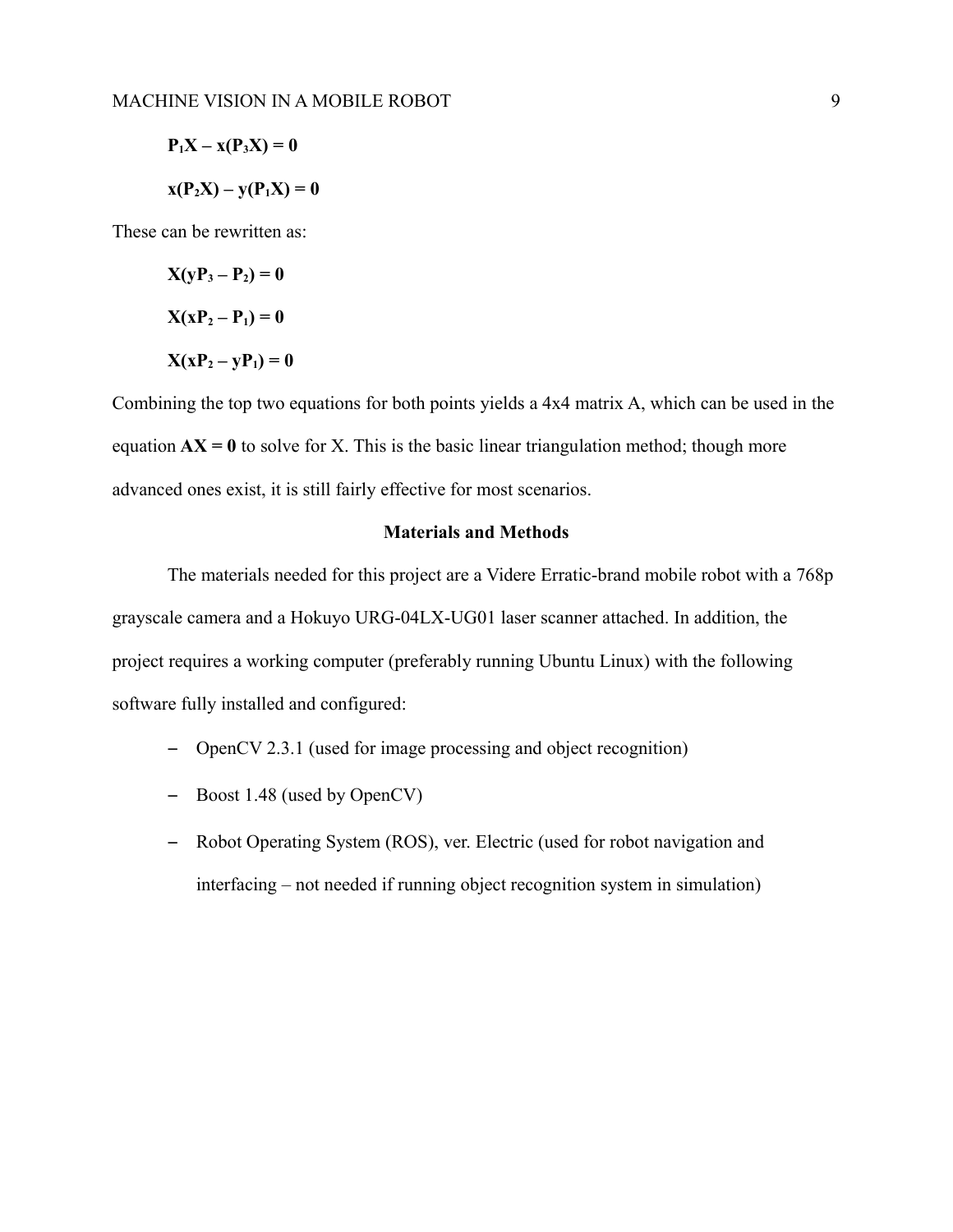$$
P1X - x(P3X) = 0
$$

$$
x(P2X) - y(P1X) = 0
$$

These can be rewritten as:

$$
X(yP_3 - P_2) = 0
$$

$$
X(xP_2 - P_1) = 0
$$

$$
X(xP_2 - yP_1) = 0
$$

Combining the top two equations for both points yields a 4x4 matrix A, which can be used in the equation  $AX = 0$  to solve for X. This is the basic linear triangulation method; though more advanced ones exist, it is still fairly effective for most scenarios.

## **Materials and Methods**

The materials needed for this project are a Videre Erratic-brand mobile robot with a 768p grayscale camera and a Hokuyo URG-04LX-UG01 laser scanner attached. In addition, the project requires a working computer (preferably running Ubuntu Linux) with the following software fully installed and configured:

- OpenCV 2.3.1 (used for image processing and object recognition)
- Boost 1.48 (used by OpenCV)
- Robot Operating System (ROS), ver. Electric (used for robot navigation and interfacing – not needed if running object recognition system in simulation)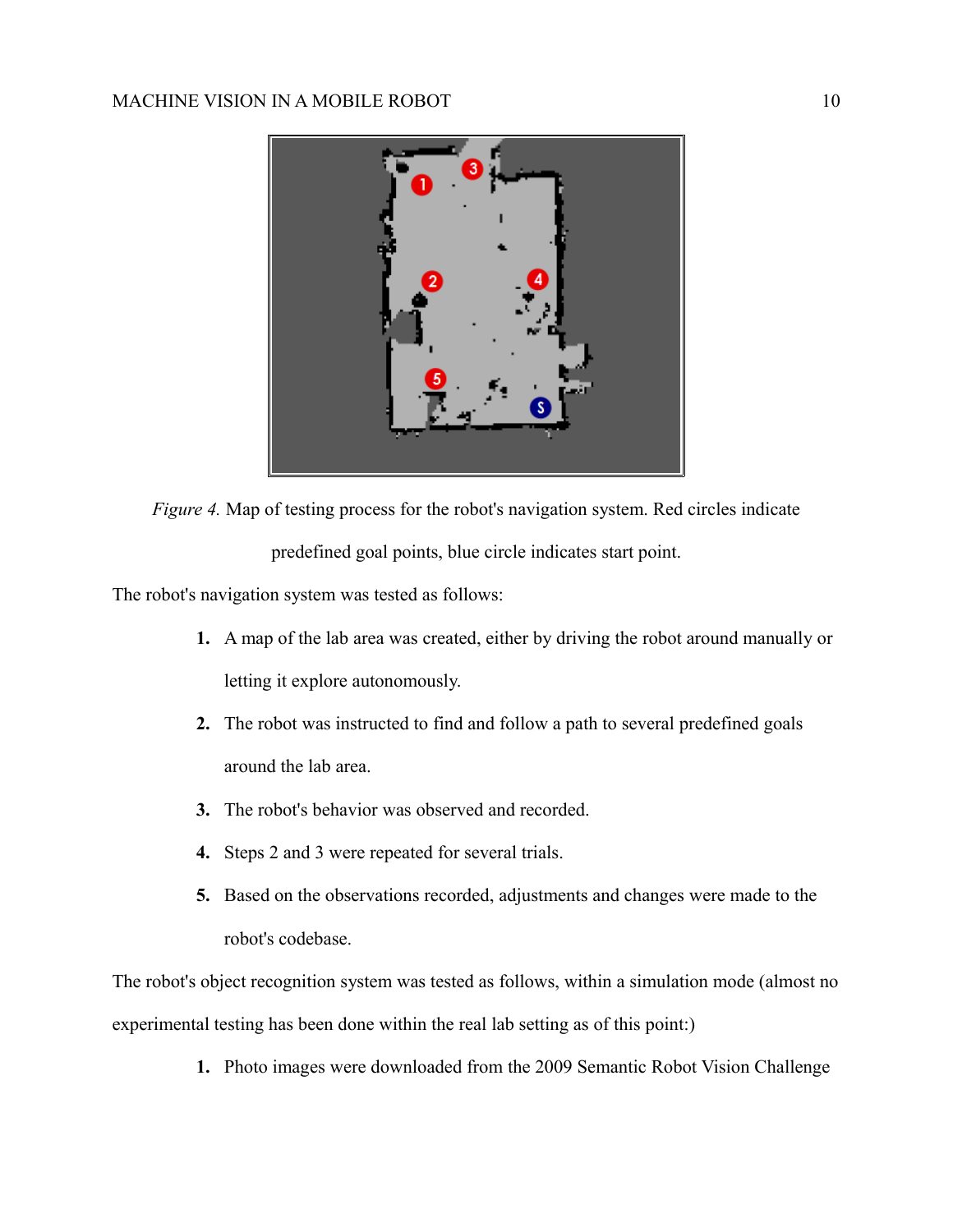

*Figure 4.* Map of testing process for the robot's navigation system. Red circles indicate predefined goal points, blue circle indicates start point.

The robot's navigation system was tested as follows:

- **1.** A map of the lab area was created, either by driving the robot around manually or letting it explore autonomously.
- **2.** The robot was instructed to find and follow a path to several predefined goals around the lab area.
- **3.** The robot's behavior was observed and recorded.
- **4.** Steps 2 and 3 were repeated for several trials.
- **5.** Based on the observations recorded, adjustments and changes were made to the robot's codebase.

The robot's object recognition system was tested as follows, within a simulation mode (almost no experimental testing has been done within the real lab setting as of this point:)

**1.** Photo images were downloaded from the 2009 Semantic Robot Vision Challenge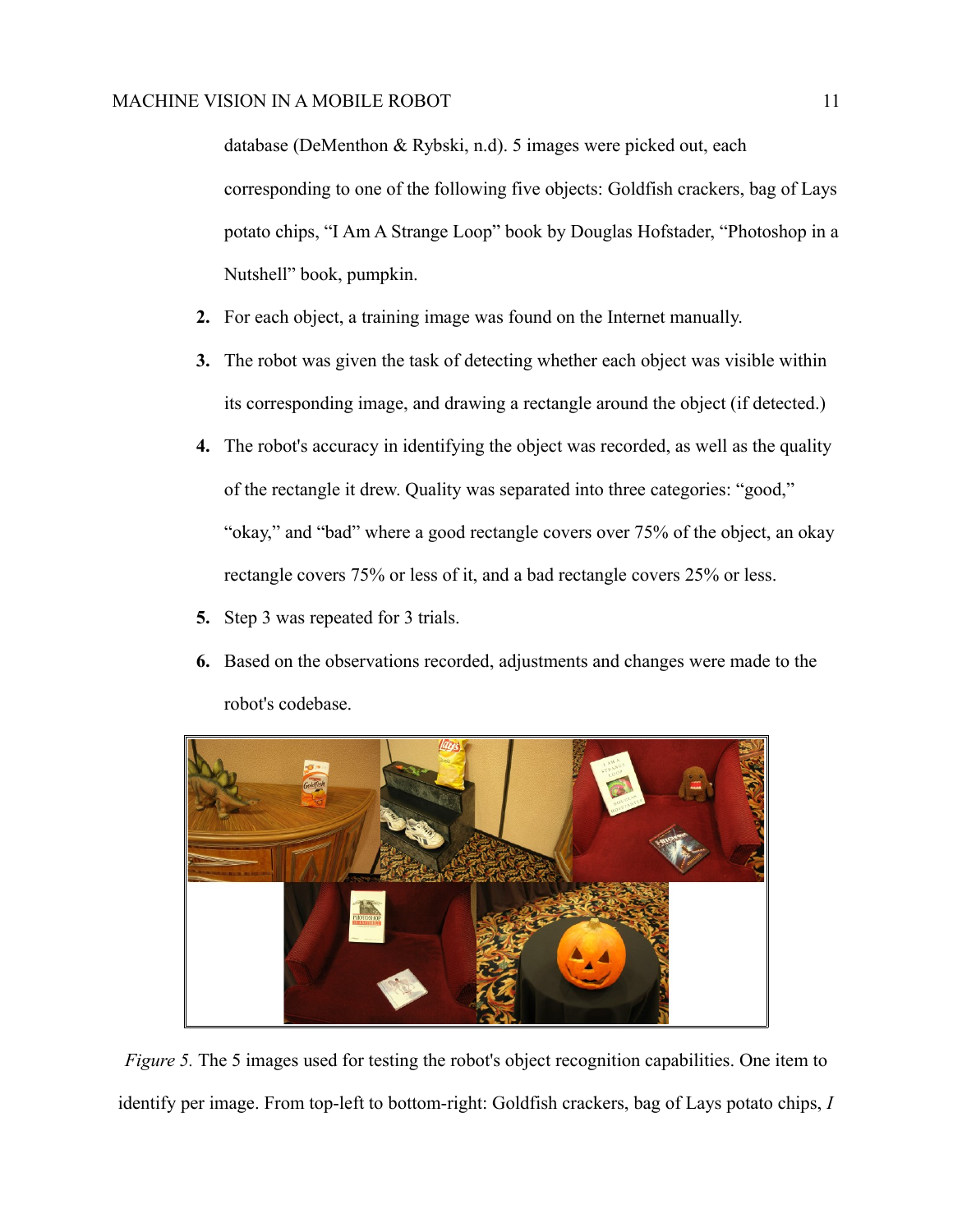database (DeMenthon & Rybski, n.d). 5 images were picked out, each corresponding to one of the following five objects: Goldfish crackers, bag of Lays potato chips, "I Am A Strange Loop" book by Douglas Hofstader, "Photoshop in a Nutshell" book, pumpkin.

- **2.** For each object, a training image was found on the Internet manually.
- **3.** The robot was given the task of detecting whether each object was visible within its corresponding image, and drawing a rectangle around the object (if detected.)
- **4.** The robot's accuracy in identifying the object was recorded, as well as the quality of the rectangle it drew. Quality was separated into three categories: "good," "okay," and "bad" where a good rectangle covers over 75% of the object, an okay rectangle covers 75% or less of it, and a bad rectangle covers 25% or less.
- **5.** Step 3 was repeated for 3 trials.
- **6.** Based on the observations recorded, adjustments and changes were made to the robot's codebase.



*Figure 5.* The 5 images used for testing the robot's object recognition capabilities. One item to identify per image. From top-left to bottom-right: Goldfish crackers, bag of Lays potato chips, *I*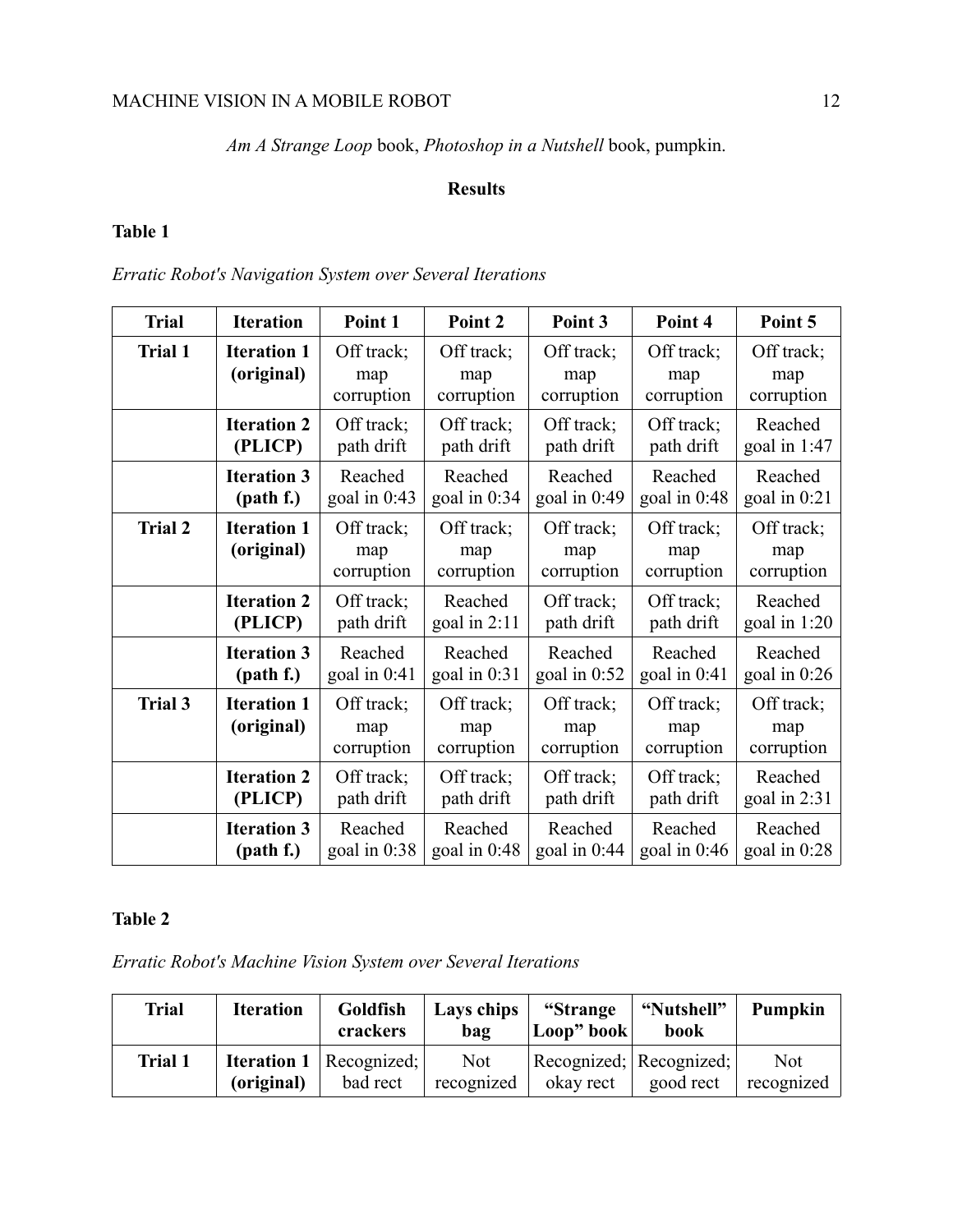*Am A Strange Loop* book, *Photoshop in a Nutshell* book, pumpkin.

## **Results**

# **Table 1**

*Erratic Robot's Navigation System over Several Iterations*

| <b>Trial</b>   | <b>Iteration</b>                 | Point 1                         | Point 2                         | Point 3                         | Point 4                         | Point 5                         |
|----------------|----------------------------------|---------------------------------|---------------------------------|---------------------------------|---------------------------------|---------------------------------|
| <b>Trial 1</b> | <b>Iteration 1</b><br>(original) | Off track;<br>map<br>corruption | Off track;<br>map<br>corruption | Off track;<br>map<br>corruption | Off track;<br>map<br>corruption | Off track;<br>map<br>corruption |
|                | <b>Iteration 2</b>               | Off track;                      | Off track;                      | Off track;                      | Off track;                      | Reached                         |
|                | (PLICP)                          | path drift                      | path drift                      | path drift                      | path drift                      | goal in $1:47$                  |
|                | <b>Iteration 3</b>               | Reached                         | Reached                         | Reached                         | Reached                         | Reached                         |
|                | (path f.)                        | goal in $0:43$                  | goal in $0:34$                  | goal in $0:49$                  | goal in 0:48                    | goal in 0:21                    |
| <b>Trial 2</b> | <b>Iteration 1</b><br>(original) | Off track;<br>map<br>corruption | Off track;<br>map<br>corruption | Off track;<br>map<br>corruption | Off track;<br>map<br>corruption | Off track;<br>map<br>corruption |
|                | <b>Iteration 2</b>               | Off track;                      | Reached                         | Off track;                      | Off track;                      | Reached                         |
|                | (PLICP)                          | path drift                      | goal in $2:11$                  | path drift                      | path drift                      | goal in $1:20$                  |
|                | <b>Iteration 3</b>               | Reached                         | Reached                         | Reached                         | Reached                         | Reached                         |
|                | (path f.)                        | goal in $0:41$                  | goal in $0:31$                  | goal in $0:52$                  | goal in $0:41$                  | goal in $0:26$                  |
| <b>Trial 3</b> | <b>Iteration 1</b><br>(original) | Off track;<br>map<br>corruption | Off track;<br>map<br>corruption | Off track;<br>map<br>corruption | Off track;<br>map<br>corruption | Off track;<br>map<br>corruption |
|                | <b>Iteration 2</b>               | Off track;                      | Off track;                      | Off track;                      | Off track;                      | Reached                         |
|                | (PLICP)                          | path drift                      | path drift                      | path drift                      | path drift                      | goal in $2:31$                  |
|                | <b>Iteration 3</b>               | Reached                         | Reached                         | Reached                         | Reached                         | Reached                         |
|                | (path f.)                        | goal in $0:38$                  | goal in $0:48$                  | goal in $0:44$                  | goal in $0:46$                  | goal in 0:28                    |

# **Table 2**

*Erratic Robot's Machine Vision System over Several Iterations*

| <b>Trial</b> | <b>Iteration</b> | Goldfish<br>crackers                           | Lays chips<br>bag        | "Strange<br>$\lfloor$ Loop" book $\rfloor$ | "Nutshell"<br>book                       | Pumpkin                  |
|--------------|------------------|------------------------------------------------|--------------------------|--------------------------------------------|------------------------------------------|--------------------------|
| Trial 1      | (original)       | <b>Iteration 1</b>   Recognized:  <br>bad rect | <b>Not</b><br>recognized | okay rect                                  | Recognized;   Recognized;  <br>good rect | <b>Not</b><br>recognized |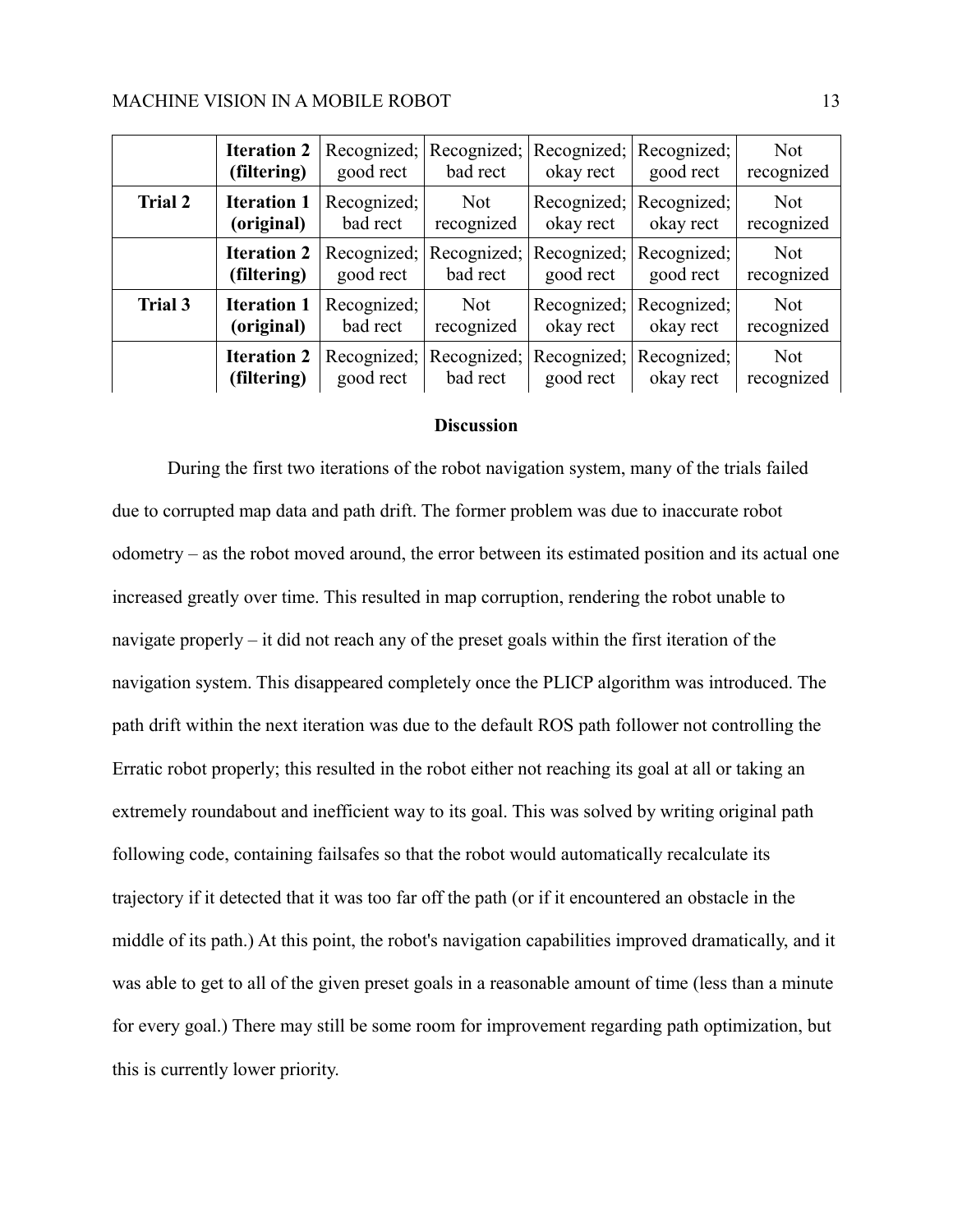|                | <b>Iteration 2</b><br>(filtering) | good rect                | Recognized; Recognized; Recognized; Recognized;<br>bad rect | okay rect                                        | good rect                            | <b>Not</b><br>recognized |
|----------------|-----------------------------------|--------------------------|-------------------------------------------------------------|--------------------------------------------------|--------------------------------------|--------------------------|
| <b>Trial 2</b> | <b>Iteration 1</b><br>(original)  | Recognized;<br>bad rect  | Not<br>recognized                                           | okay rect                                        | Recognized; Recognized;<br>okay rect | <b>Not</b><br>recognized |
|                | <b>Iteration 2</b><br>(filtering) | Recognized;<br>good rect | bad rect                                                    | Recognized; Recognized; Recognized;<br>good rect | good rect                            | <b>Not</b><br>recognized |
| Trial 3        | <b>Iteration 1</b><br>(original)  | Recognized;<br>bad rect  | Not<br>recognized                                           | okay rect                                        | Recognized; Recognized;<br>okay rect | <b>Not</b><br>recognized |
|                | <b>Iteration 2</b><br>(filtering) | Recognized;<br>good rect | bad rect                                                    | Recognized; Recognized; Recognized;<br>good rect | okay rect                            | <b>Not</b><br>recognized |

### **Discussion**

During the first two iterations of the robot navigation system, many of the trials failed due to corrupted map data and path drift. The former problem was due to inaccurate robot odometry – as the robot moved around, the error between its estimated position and its actual one increased greatly over time. This resulted in map corruption, rendering the robot unable to navigate properly – it did not reach any of the preset goals within the first iteration of the navigation system. This disappeared completely once the PLICP algorithm was introduced. The path drift within the next iteration was due to the default ROS path follower not controlling the Erratic robot properly; this resulted in the robot either not reaching its goal at all or taking an extremely roundabout and inefficient way to its goal. This was solved by writing original path following code, containing failsafes so that the robot would automatically recalculate its trajectory if it detected that it was too far off the path (or if it encountered an obstacle in the middle of its path.) At this point, the robot's navigation capabilities improved dramatically, and it was able to get to all of the given preset goals in a reasonable amount of time (less than a minute for every goal.) There may still be some room for improvement regarding path optimization, but this is currently lower priority.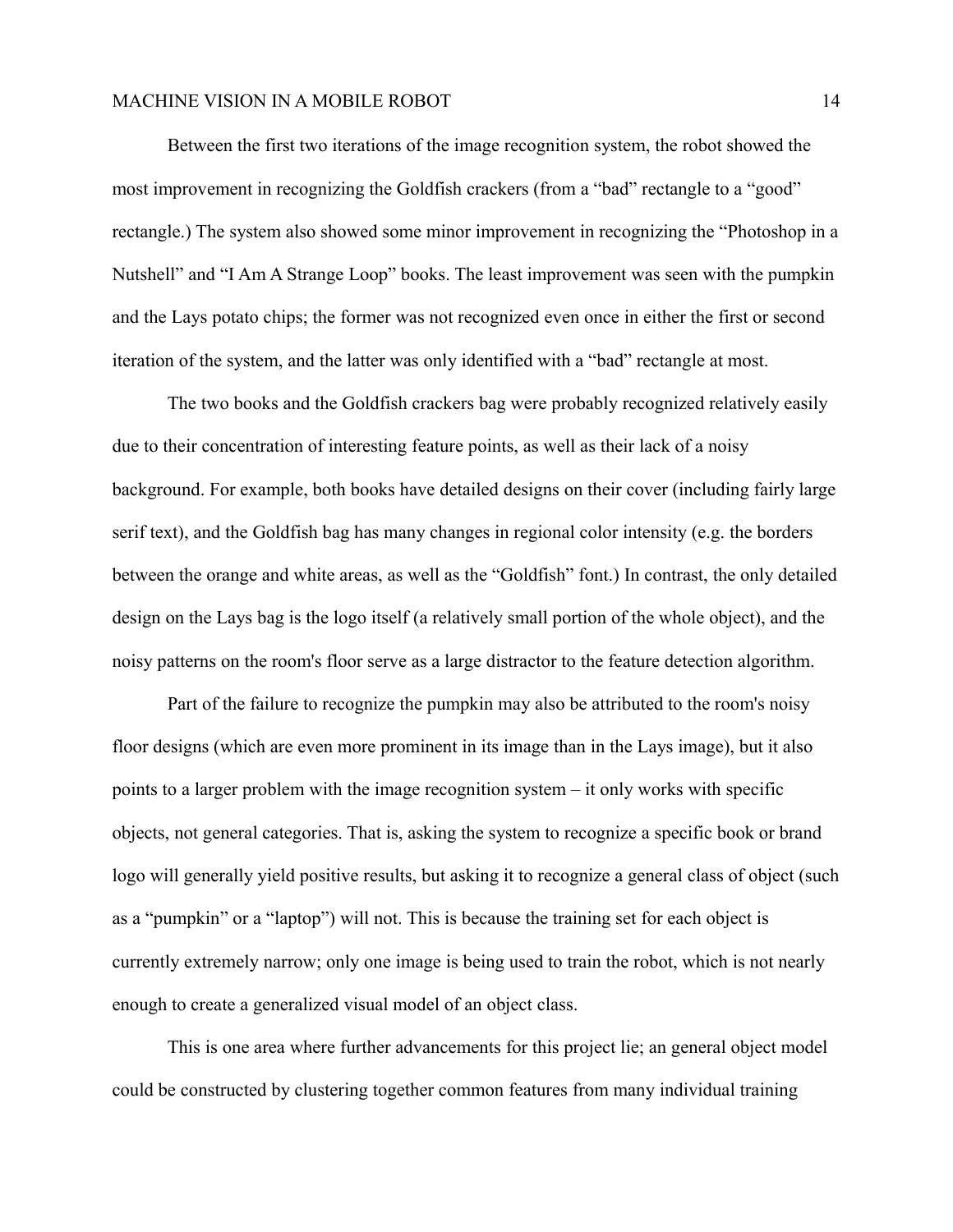Between the first two iterations of the image recognition system, the robot showed the most improvement in recognizing the Goldfish crackers (from a "bad" rectangle to a "good" rectangle.) The system also showed some minor improvement in recognizing the "Photoshop in a Nutshell" and "I Am A Strange Loop" books. The least improvement was seen with the pumpkin and the Lays potato chips; the former was not recognized even once in either the first or second iteration of the system, and the latter was only identified with a "bad" rectangle at most.

The two books and the Goldfish crackers bag were probably recognized relatively easily due to their concentration of interesting feature points, as well as their lack of a noisy background. For example, both books have detailed designs on their cover (including fairly large serif text), and the Goldfish bag has many changes in regional color intensity (e.g. the borders between the orange and white areas, as well as the "Goldfish" font.) In contrast, the only detailed design on the Lays bag is the logo itself (a relatively small portion of the whole object), and the noisy patterns on the room's floor serve as a large distractor to the feature detection algorithm.

Part of the failure to recognize the pumpkin may also be attributed to the room's noisy floor designs (which are even more prominent in its image than in the Lays image), but it also points to a larger problem with the image recognition system – it only works with specific objects, not general categories. That is, asking the system to recognize a specific book or brand logo will generally yield positive results, but asking it to recognize a general class of object (such as a "pumpkin" or a "laptop") will not. This is because the training set for each object is currently extremely narrow; only one image is being used to train the robot, which is not nearly enough to create a generalized visual model of an object class.

This is one area where further advancements for this project lie; an general object model could be constructed by clustering together common features from many individual training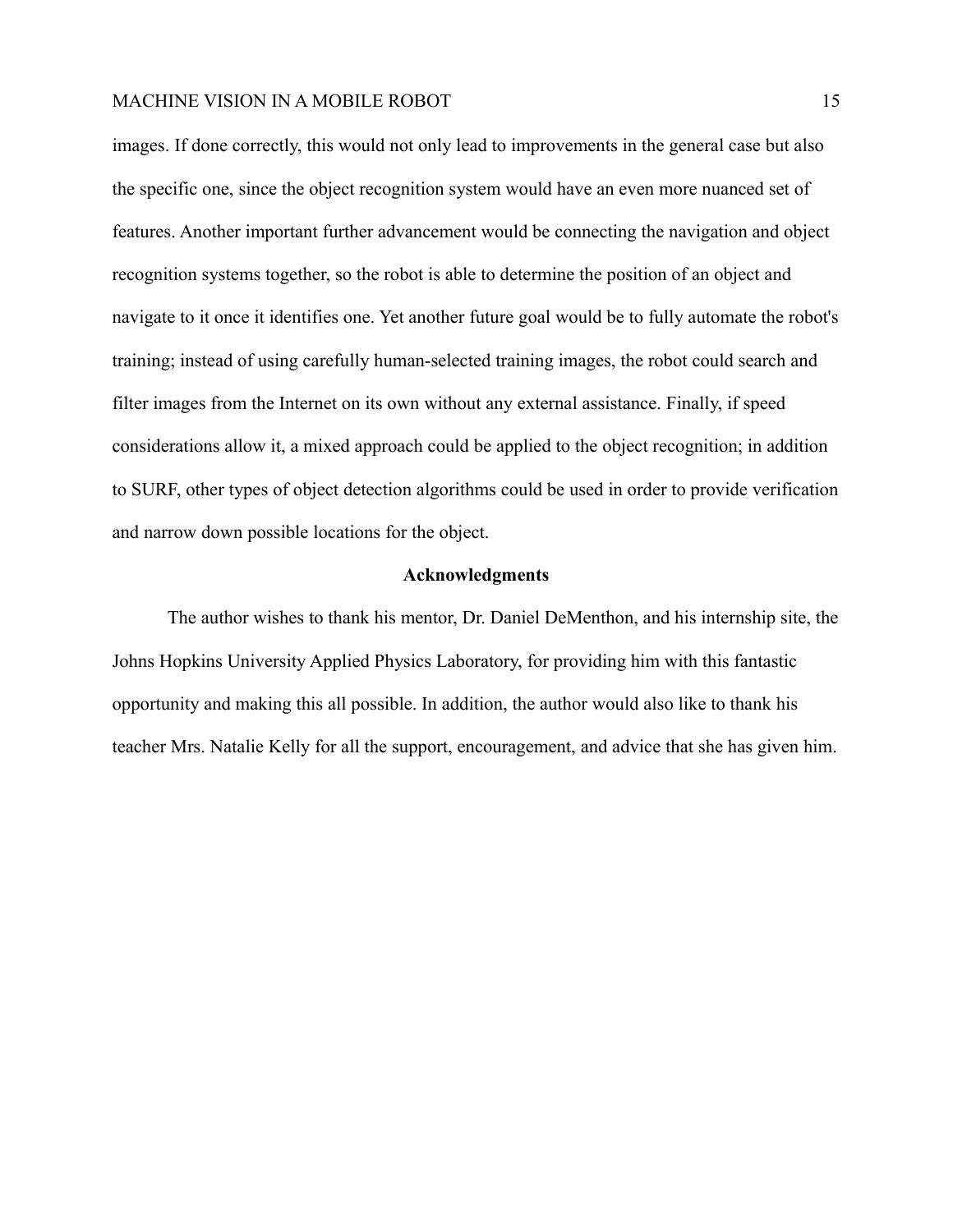images. If done correctly, this would not only lead to improvements in the general case but also the specific one, since the object recognition system would have an even more nuanced set of features. Another important further advancement would be connecting the navigation and object recognition systems together, so the robot is able to determine the position of an object and navigate to it once it identifies one. Yet another future goal would be to fully automate the robot's training; instead of using carefully human-selected training images, the robot could search and filter images from the Internet on its own without any external assistance. Finally, if speed considerations allow it, a mixed approach could be applied to the object recognition; in addition to SURF, other types of object detection algorithms could be used in order to provide verification and narrow down possible locations for the object.

### **Acknowledgments**

The author wishes to thank his mentor, Dr. Daniel DeMenthon, and his internship site, the Johns Hopkins University Applied Physics Laboratory, for providing him with this fantastic opportunity and making this all possible. In addition, the author would also like to thank his teacher Mrs. Natalie Kelly for all the support, encouragement, and advice that she has given him.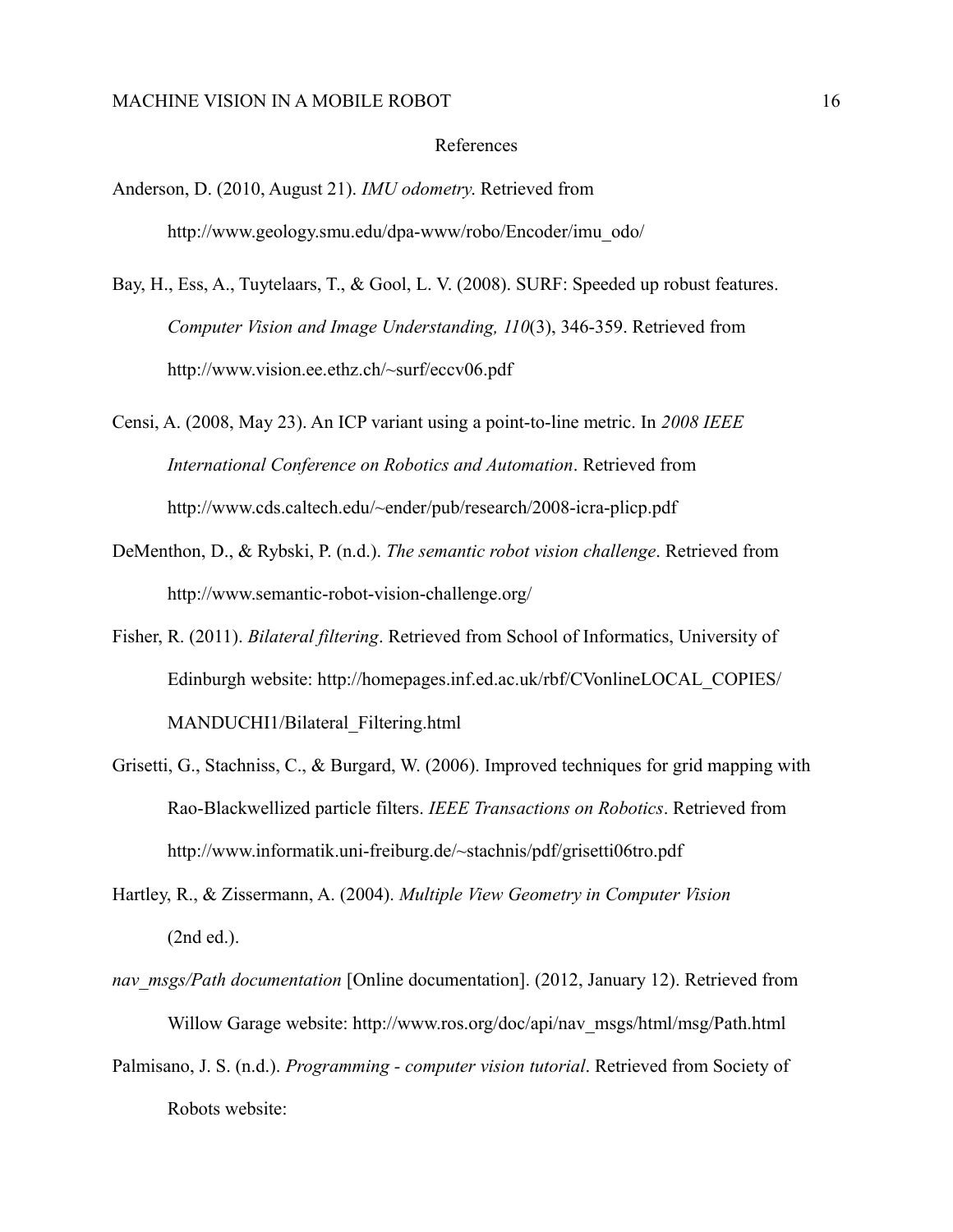## References

- Anderson, D. (2010, August 21). *IMU odometry*. Retrieved from http://www.geology.smu.edu/dpa-www/robo/Encoder/imu\_odo/
- Bay, H., Ess, A., Tuytelaars, T., & Gool, L. V. (2008). SURF: Speeded up robust features. *Computer Vision and Image Understanding, 110*(3), 346-359. Retrieved from http://www.vision.ee.ethz.ch/~surf/eccv06.pdf
- Censi, A. (2008, May 23). An ICP variant using a point-to-line metric. In *2008 IEEE International Conference on Robotics and Automation*. Retrieved from http://www.cds.caltech.edu/~ender/pub/research/2008-icra-plicp.pdf
- DeMenthon, D., & Rybski, P. (n.d.). *The semantic robot vision challenge*. Retrieved from http://www.semantic-robot-vision-challenge.org/
- Fisher, R. (2011). *Bilateral filtering*. Retrieved from School of Informatics, University of Edinburgh website: http://homepages.inf.ed.ac.uk/rbf/CVonlineLOCAL\_COPIES/ MANDUCHI1/Bilateral\_Filtering.html
- Grisetti, G., Stachniss, C., & Burgard, W. (2006). Improved techniques for grid mapping with Rao-Blackwellized particle filters. *IEEE Transactions on Robotics*. Retrieved from http://www.informatik.uni-freiburg.de/~stachnis/pdf/grisetti06tro.pdf
- Hartley, R., & Zissermann, A. (2004). *Multiple View Geometry in Computer Vision*  (2nd ed.).
- *nav\_msgs/Path documentation* [Online documentation]. (2012, January 12). Retrieved from Willow Garage website: http://www.ros.org/doc/api/nav\_msgs/html/msg/Path.html
- Palmisano, J. S. (n.d.). *Programming computer vision tutorial*. Retrieved from Society of Robots website: